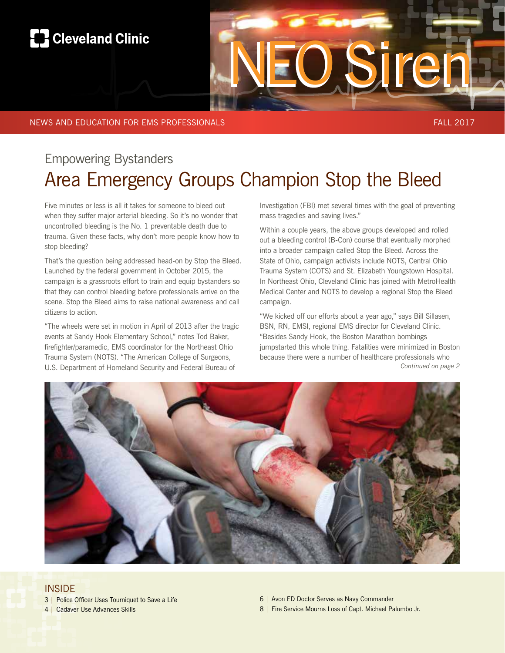# **R** Cleveland Clinic

# Empowering Bystanders Area Emergency Groups Champion Stop the Bleed

Five minutes or less is all it takes for someone to bleed out when they suffer major arterial bleeding. So it's no wonder that uncontrolled bleeding is the No. 1 preventable death due to trauma. Given these facts, why don't more people know how to stop bleeding?

That's the question being addressed head-on by Stop the Bleed. Launched by the federal government in October 2015, the campaign is a grassroots effort to train and equip bystanders so that they can control bleeding before professionals arrive on the scene. Stop the Bleed aims to raise national awareness and call citizens to action.

"The wheels were set in motion in April of 2013 after the tragic events at Sandy Hook Elementary School," notes Tod Baker, firefighter/paramedic, EMS coordinator for the Northeast Ohio Trauma System (NOTS). "The American College of Surgeons, U.S. Department of Homeland Security and Federal Bureau of

Investigation (FBI) met several times with the goal of preventing mass tragedies and saving lives."

NEO Siren

Within a couple years, the above groups developed and rolled out a bleeding control (B-Con) course that eventually morphed into a broader campaign called Stop the Bleed. Across the State of Ohio, campaign activists include NOTS, Central Ohio Trauma System (COTS) and St. Elizabeth Youngstown Hospital. In Northeast Ohio, Cleveland Clinic has joined with MetroHealth Medical Center and NOTS to develop a regional Stop the Bleed campaign.

*Continued on page 2* "We kicked off our efforts about a year ago," says Bill Sillasen, BSN, RN, EMSI, regional EMS director for Cleveland Clinic. "Besides Sandy Hook, the Boston Marathon bombings jumpstarted this whole thing. Fatalities were minimized in Boston because there were a number of healthcare professionals who



#### INSIDE

- 3 | Police Officer Uses Tourniquet to Save a Life
- 4 | Cadaver Use Advances Skills
- 6 | Avon ED Doctor Serves as Navy Commander
- 8 | Fire Service Mourns Loss of Capt. Michael Palumbo Jr.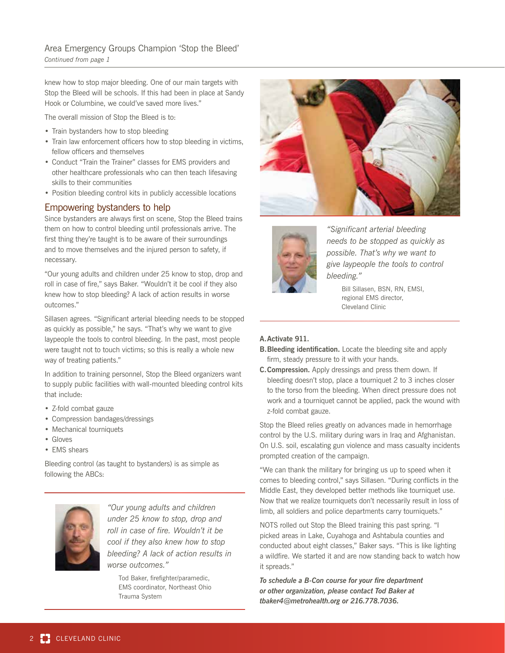knew how to stop major bleeding. One of our main targets with Stop the Bleed will be schools. If this had been in place at Sandy Hook or Columbine, we could've saved more lives."

The overall mission of Stop the Bleed is to:

- Train bystanders how to stop bleeding
- Train law enforcement officers how to stop bleeding in victims, fellow officers and themselves
- Conduct "Train the Trainer" classes for EMS providers and other healthcare professionals who can then teach lifesaving skills to their communities
- Position bleeding control kits in publicly accessible locations

#### Empowering bystanders to help

Since bystanders are always first on scene, Stop the Bleed trains them on how to control bleeding until professionals arrive. The first thing they're taught is to be aware of their surroundings and to move themselves and the injured person to safety, if necessary.

"Our young adults and children under 25 know to stop, drop and roll in case of fire," says Baker. "Wouldn't it be cool if they also knew how to stop bleeding? A lack of action results in worse outcomes."

Sillasen agrees. "Significant arterial bleeding needs to be stopped as quickly as possible," he says. "That's why we want to give laypeople the tools to control bleeding. In the past, most people were taught not to touch victims; so this is really a whole new way of treating patients."

In addition to training personnel, Stop the Bleed organizers want to supply public facilities with wall-mounted bleeding control kits that include:

- Z-fold combat gauze
- Compression bandages/dressings
- Mechanical tourniquets
- Gloves
- EMS shears

Bleeding control (as taught to bystanders) is as simple as following the ABCs:



*"Our young adults and children under 25 know to stop, drop and roll in case of fire. Wouldn't it be cool if they also knew how to stop bleeding? A lack of action results in worse outcomes."*

Tod Baker, firefighter/paramedic, EMS coordinator, Northeast Ohio Trauma System





*"Significant arterial bleeding needs to be stopped as quickly as possible. That's why we want to give laypeople the tools to control bleeding."*

> Bill Sillasen, BSN, RN, EMSI, regional EMS director, Cleveland Clinic

#### **A.Activate 911.**

- **B. Bleeding identification.** Locate the bleeding site and apply firm, steady pressure to it with your hands.
- **C. Compression.** Apply dressings and press them down. If bleeding doesn't stop, place a tourniquet 2 to 3 inches closer to the torso from the bleeding. When direct pressure does not work and a tourniquet cannot be applied, pack the wound with z-fold combat gauze.

Stop the Bleed relies greatly on advances made in hemorrhage control by the U.S. military during wars in Iraq and Afghanistan. On U.S. soil, escalating gun violence and mass casualty incidents prompted creation of the campaign.

"We can thank the military for bringing us up to speed when it comes to bleeding control," says Sillasen. "During conflicts in the Middle East, they developed better methods like tourniquet use. Now that we realize tourniquets don't necessarily result in loss of limb, all soldiers and police departments carry tourniquets."

NOTS rolled out Stop the Bleed training this past spring. "I picked areas in Lake, Cuyahoga and Ashtabula counties and conducted about eight classes," Baker says. "This is like lighting a wildfire. We started it and are now standing back to watch how it spreads."

*To schedule a B-Con course for your fire department or other organization, please contact Tod Baker at tbaker4@metrohealth.org or 216.778.7036.*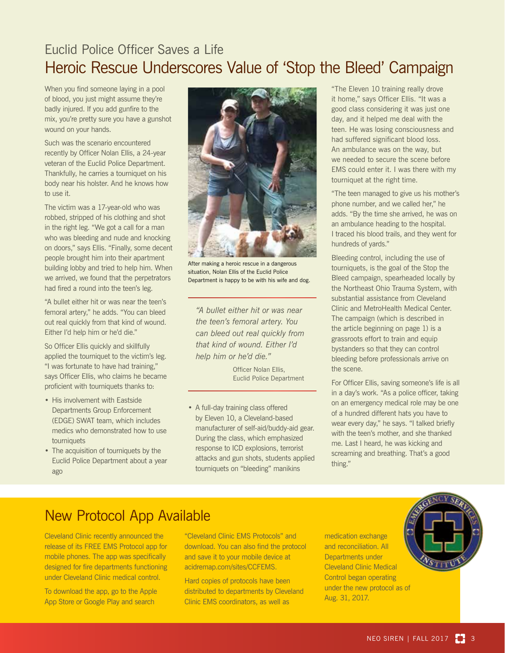### Euclid Police Officer Saves a Life Heroic Rescue Underscores Value of 'Stop the Bleed' Campaign

When you find someone laying in a pool of blood, you just might assume they're badly injured. If you add gunfire to the mix, you're pretty sure you have a gunshot wound on your hands.

Such was the scenario encountered recently by Officer Nolan Ellis, a 24-year veteran of the Euclid Police Department. Thankfully, he carries a tourniquet on his body near his holster. And he knows how to use it.

The victim was a 17-year-old who was robbed, stripped of his clothing and shot in the right leg. "We got a call for a man who was bleeding and nude and knocking on doors," says Ellis. "Finally, some decent people brought him into their apartment building lobby and tried to help him. When we arrived, we found that the perpetrators had fired a round into the teen's leg.

"A bullet either hit or was near the teen's femoral artery," he adds. "You can bleed out real quickly from that kind of wound. Either I'd help him or he'd die."

So Officer Ellis quickly and skillfully applied the tourniquet to the victim's leg. "I was fortunate to have had training," says Officer Ellis, who claims he became proficient with tourniquets thanks to:

- His involvement with Eastside Departments Group Enforcement (EDGE) SWAT team, which includes medics who demonstrated how to use tourniquets
- The acquisition of tourniquets by the Euclid Police Department about a year ago



After making a heroic rescue in a dangerous situation, Nolan Ellis of the Euclid Police Department is happy to be with his wife and dog.

*"A bullet either hit or was near the teen's femoral artery. You can bleed out real quickly from that kind of wound. Either I'd help him or he'd die."*

> Officer Nolan Ellis, Euclid Police Department

• A full-day training class offered by Eleven 10, a Cleveland-based manufacturer of self-aid/buddy-aid gear. During the class, which emphasized response to ICD explosions, terrorist attacks and gun shots, students applied tourniquets on "bleeding" manikins

"The Eleven 10 training really drove it home," says Officer Ellis. "It was a good class considering it was just one day, and it helped me deal with the teen. He was losing consciousness and had suffered significant blood loss. An ambulance was on the way, but we needed to secure the scene before EMS could enter it. I was there with my tourniquet at the right time.

"The teen managed to give us his mother's phone number, and we called her," he adds. "By the time she arrived, he was on an ambulance heading to the hospital. I traced his blood trails, and they went for hundreds of yards."

Bleeding control, including the use of tourniquets, is the goal of the Stop the Bleed campaign, spearheaded locally by the Northeast Ohio Trauma System, with substantial assistance from Cleveland Clinic and MetroHealth Medical Center. The campaign (which is described in the article beginning on page 1) is a grassroots effort to train and equip bystanders so that they can control bleeding before professionals arrive on the scene.

For Officer Ellis, saving someone's life is all in a day's work. "As a police officer, taking on an emergency medical role may be one of a hundred different hats you have to wear every day," he says. "I talked briefly with the teen's mother, and she thanked me. Last I heard, he was kicking and screaming and breathing. That's a good thing."

### New Protocol App Available

Cleveland Clinic recently announced the release of its FREE EMS Protocol app for mobile phones. The app was specifically designed for fire departments functioning under Cleveland Clinic medical control.

To download the app, go to the Apple App Store or Google Play and search

"Cleveland Clinic EMS Protocols" and download. You can also find the protocol and save it to your mobile device at acidremap.com/sites/CCFEMS.

Hard copies of protocols have been distributed to departments by Cleveland Clinic EMS coordinators, as well as

medication exchange and reconciliation. All Departments under Cleveland Clinic Medical Control began operating under the new protocol as of Aug. 31, 2017.

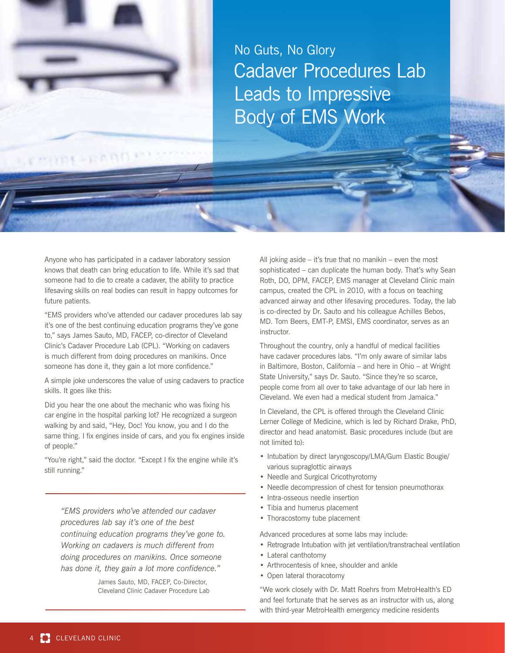

No Guts, No Glory Cadaver Procedures Lab Leads to Impressive Body of EMS Work

Anyone who has participated in a cadaver laboratory session knows that death can bring education to life. While it's sad that someone had to die to create a cadaver, the ability to practice lifesaving skills on real bodies can result in happy outcomes for future patients.

"EMS providers who've attended our cadaver procedures lab say it's one of the best continuing education programs they've gone to," says James Sauto, MD, FACEP, co-director of Cleveland Clinic's Cadaver Procedure Lab (CPL). "Working on cadavers is much different from doing procedures on manikins. Once someone has done it, they gain a lot more confidence."

A simple joke underscores the value of using cadavers to practice skills. It goes like this:

Did you hear the one about the mechanic who was fixing his car engine in the hospital parking lot? He recognized a surgeon walking by and said, "Hey, Doc! You know, you and I do the same thing. I fix engines inside of cars, and you fix engines inside of people."

"You're right," said the doctor. "Except I fix the engine while it's still running."

*"EMS providers who've attended our cadaver procedures lab say it's one of the best continuing education programs they've gone to. Working on cadavers is much different from doing procedures on manikins. Once someone has done it, they gain a lot more confidence."*

> James Sauto, MD, FACEP, Co-Director, Cleveland Clinic Cadaver Procedure Lab

All joking aside – it's true that no manikin – even the most sophisticated – can duplicate the human body. That's why Sean Roth, DO, DPM, FACEP, EMS manager at Cleveland Clinic main campus, created the CPL in 2010, with a focus on teaching advanced airway and other lifesaving procedures. Today, the lab is co-directed by Dr. Sauto and his colleague Achilles Bebos, MD. Tom Beers, EMT-P, EMSI, EMS coordinator, serves as an instructor.

Throughout the country, only a handful of medical facilities have cadaver procedures labs. "I'm only aware of similar labs in Baltimore, Boston, California – and here in Ohio – at Wright State University," says Dr. Sauto. "Since they're so scarce, people come from all over to take advantage of our lab here in Cleveland. We even had a medical student from Jamaica."

In Cleveland, the CPL is offered through the Cleveland Clinic Lerner College of Medicine, which is led by Richard Drake, PhD, director and head anatomist. Basic procedures include (but are not limited to):

- Intubation by direct laryngoscopy/LMA/Gum Elastic Bougie/ various supraglottic airways
- Needle and Surgical Cricothyrotomy
- Needle decompression of chest for tension pneumothorax
- Intra-osseous needle insertion
- Tibia and humerus placement
- Thoracostomy tube placement

Advanced procedures at some labs may include:

- Retrograde Intubation with jet ventilation/transtracheal ventilation
- Lateral canthotomy
- Arthrocentesis of knee, shoulder and ankle
- Open lateral thoracotomy

"We work closely with Dr. Matt Roehrs from MetroHealth's ED and feel fortunate that he serves as an instructor with us, along with third-year MetroHealth emergency medicine residents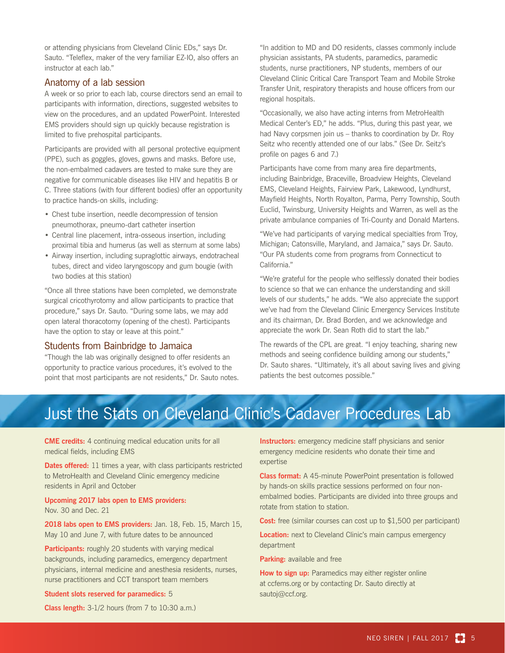or attending physicians from Cleveland Clinic EDs," says Dr. Sauto. "Teleflex, maker of the very familiar EZ-IO, also offers an instructor at each lab."

#### Anatomy of a lab session

A week or so prior to each lab, course directors send an email to participants with information, directions, suggested websites to view on the procedures, and an updated PowerPoint. Interested EMS providers should sign up quickly because registration is limited to five prehospital participants.

Participants are provided with all personal protective equipment (PPE), such as goggles, gloves, gowns and masks. Before use, the non-embalmed cadavers are tested to make sure they are negative for communicable diseases like HIV and hepatitis B or C. Three stations (with four different bodies) offer an opportunity to practice hands-on skills, including:

- Chest tube insertion, needle decompression of tension pneumothorax, pneumo-dart catheter insertion
- Central line placement, intra-osseous insertion, including proximal tibia and humerus (as well as sternum at some labs)
- Airway insertion, including supraglottic airways, endotracheal tubes, direct and video laryngoscopy and gum bougie (with two bodies at this station)

"Once all three stations have been completed, we demonstrate surgical cricothyrotomy and allow participants to practice that procedure," says Dr. Sauto. "During some labs, we may add open lateral thoracotomy (opening of the chest). Participants have the option to stay or leave at this point."

#### Students from Bainbridge to Jamaica

"Though the lab was originally designed to offer residents an opportunity to practice various procedures, it's evolved to the point that most participants are not residents," Dr. Sauto notes. "In addition to MD and DO residents, classes commonly include physician assistants, PA students, paramedics, paramedic students, nurse practitioners, NP students, members of our Cleveland Clinic Critical Care Transport Team and Mobile Stroke Transfer Unit, respiratory therapists and house officers from our regional hospitals.

"Occasionally, we also have acting interns from MetroHealth Medical Center's ED," he adds. "Plus, during this past year, we had Navy corpsmen join us – thanks to coordination by Dr. Roy Seitz who recently attended one of our labs." (See Dr. Seitz's profile on pages 6 and 7.)

Participants have come from many area fire departments, including Bainbridge, Braceville, Broadview Heights, Cleveland EMS, Cleveland Heights, Fairview Park, Lakewood, Lyndhurst, Mayfield Heights, North Royalton, Parma, Perry Township, South Euclid, Twinsburg, University Heights and Warren, as well as the private ambulance companies of Tri-County and Donald Martens.

"We've had participants of varying medical specialties from Troy, Michigan; Catonsville, Maryland, and Jamaica," says Dr. Sauto. "Our PA students come from programs from Connecticut to California."

"We're grateful for the people who selflessly donated their bodies to science so that we can enhance the understanding and skill levels of our students," he adds. "We also appreciate the support we've had from the Cleveland Clinic Emergency Services Institute and its chairman, Dr. Brad Borden, and we acknowledge and appreciate the work Dr. Sean Roth did to start the lab."

The rewards of the CPL are great. "I enjoy teaching, sharing new methods and seeing confidence building among our students," Dr. Sauto shares. "Ultimately, it's all about saving lives and giving patients the best outcomes possible."

## Just the Stats on Cleveland Clinic's Cadaver Procedures Lab

**CME credits:** 4 continuing medical education units for all medical fields, including EMS

**Dates offered:** 11 times a year, with class participants restricted to MetroHealth and Cleveland Clinic emergency medicine residents in April and October

**Upcoming 2017 labs open to EMS providers:** Nov. 30 and Dec. 21

**2018 labs open to EMS providers:** Jan. 18, Feb. 15, March 15, May 10 and June 7, with future dates to be announced

**Participants:** roughly 20 students with varying medical backgrounds, including paramedics, emergency department physicians, internal medicine and anesthesia residents, nurses, nurse practitioners and CCT transport team members

#### **Student slots reserved for paramedics:** 5

**Class length:** 3-1/2 hours (from 7 to 10:30 a.m.)

**Instructors:** emergency medicine staff physicians and senior emergency medicine residents who donate their time and expertise

**Class format:** A 45-minute PowerPoint presentation is followed by hands-on skills practice sessions performed on four nonembalmed bodies. Participants are divided into three groups and rotate from station to station.

**Cost:** free (similar courses can cost up to \$1,500 per participant)

**Location:** next to Cleveland Clinic's main campus emergency department

**Parking:** available and free

**How to sign up:** Paramedics may either register online at ccfems.org or by contacting Dr. Sauto directly at sautoj@ccf.org.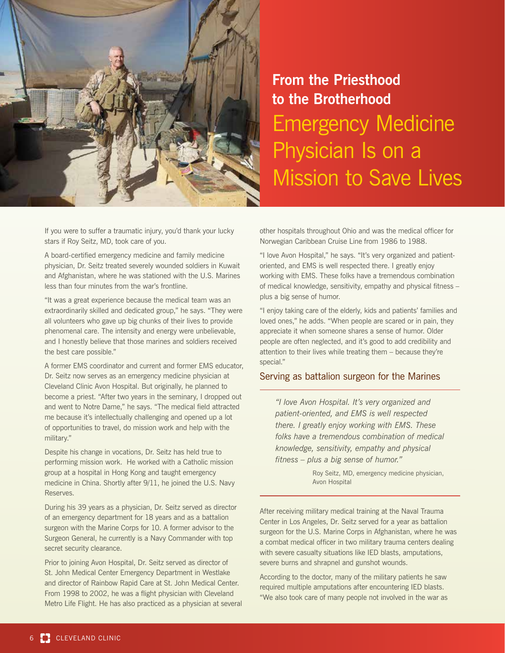

# **From the Priesthood to the Brotherhood** Emergency Medicine Physician Is on a Mission to Save Lives

If you were to suffer a traumatic injury, you'd thank your lucky stars if Roy Seitz, MD, took care of you.

A board-certified emergency medicine and family medicine physician, Dr. Seitz treated severely wounded soldiers in Kuwait and Afghanistan, where he was stationed with the U.S. Marines less than four minutes from the war's frontline.

"It was a great experience because the medical team was an extraordinarily skilled and dedicated group," he says. "They were all volunteers who gave up big chunks of their lives to provide phenomenal care. The intensity and energy were unbelievable, and I honestly believe that those marines and soldiers received the best care possible."

A former EMS coordinator and current and former EMS educator, Dr. Seitz now serves as an emergency medicine physician at Cleveland Clinic Avon Hospital. But originally, he planned to become a priest. "After two years in the seminary, I dropped out and went to Notre Dame," he says. "The medical field attracted me because it's intellectually challenging and opened up a lot of opportunities to travel, do mission work and help with the military."

Despite his change in vocations, Dr. Seitz has held true to performing mission work. He worked with a Catholic mission group at a hospital in Hong Kong and taught emergency medicine in China. Shortly after 9/11, he joined the U.S. Navy Reserves.

During his 39 years as a physician, Dr. Seitz served as director of an emergency department for 18 years and as a battalion surgeon with the Marine Corps for 10. A former advisor to the Surgeon General, he currently is a Navy Commander with top secret security clearance.

Prior to joining Avon Hospital, Dr. Seitz served as director of St. John Medical Center Emergency Department in Westlake and director of Rainbow Rapid Care at St. John Medical Center. From 1998 to 2002, he was a flight physician with Cleveland Metro Life Flight. He has also practiced as a physician at several other hospitals throughout Ohio and was the medical officer for Norwegian Caribbean Cruise Line from 1986 to 1988.

"I love Avon Hospital," he says. "It's very organized and patientoriented, and EMS is well respected there. I greatly enjoy working with EMS. These folks have a tremendous combination of medical knowledge, sensitivity, empathy and physical fitness – plus a big sense of humor.

"I enjoy taking care of the elderly, kids and patients' families and loved ones," he adds. "When people are scared or in pain, they appreciate it when someone shares a sense of humor. Older people are often neglected, and it's good to add credibility and attention to their lives while treating them – because they're special."

#### Serving as battalion surgeon for the Marines

*"I love Avon Hospital. It's very organized and patient-oriented, and EMS is well respected there. I greatly enjoy working with EMS. These folks have a tremendous combination of medical knowledge, sensitivity, empathy and physical fitness – plus a big sense of humor."*

> Roy Seitz, MD, emergency medicine physician, Avon Hospital

After receiving military medical training at the Naval Trauma Center in Los Angeles, Dr. Seitz served for a year as battalion surgeon for the U.S. Marine Corps in Afghanistan, where he was a combat medical officer in two military trauma centers dealing with severe casualty situations like IED blasts, amputations, severe burns and shrapnel and gunshot wounds.

According to the doctor, many of the military patients he saw required multiple amputations after encountering IED blasts. "We also took care of many people not involved in the war as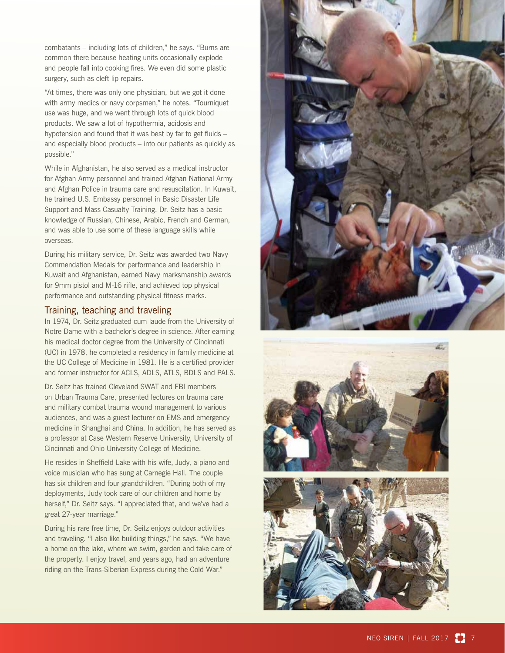combatants – including lots of children," he says. "Burns are common there because heating units occasionally explode and people fall into cooking fires. We even did some plastic surgery, such as cleft lip repairs.

"At times, there was only one physician, but we got it done with army medics or navy corpsmen," he notes. "Tourniquet use was huge, and we went through lots of quick blood products. We saw a lot of hypothermia, acidosis and hypotension and found that it was best by far to get fluids – and especially blood products – into our patients as quickly as possible."

While in Afghanistan, he also served as a medical instructor for Afghan Army personnel and trained Afghan National Army and Afghan Police in trauma care and resuscitation. In Kuwait, he trained U.S. Embassy personnel in Basic Disaster Life Support and Mass Casualty Training. Dr. Seitz has a basic knowledge of Russian, Chinese, Arabic, French and German, and was able to use some of these language skills while overseas.

During his military service, Dr. Seitz was awarded two Navy Commendation Medals for performance and leadership in Kuwait and Afghanistan, earned Navy marksmanship awards for 9mm pistol and M-16 rifle, and achieved top physical performance and outstanding physical fitness marks.

#### Training, teaching and traveling

In 1974, Dr. Seitz graduated cum laude from the University of Notre Dame with a bachelor's degree in science. After earning his medical doctor degree from the University of Cincinnati (UC) in 1978, he completed a residency in family medicine at the UC College of Medicine in 1981. He is a certified provider and former instructor for ACLS, ADLS, ATLS, BDLS and PALS.

Dr. Seitz has trained Cleveland SWAT and FBI members on Urban Trauma Care, presented lectures on trauma care and military combat trauma wound management to various audiences, and was a guest lecturer on EMS and emergency medicine in Shanghai and China. In addition, he has served as a professor at Case Western Reserve University, University of Cincinnati and Ohio University College of Medicine.

He resides in Sheffield Lake with his wife, Judy, a piano and voice musician who has sung at Carnegie Hall. The couple has six children and four grandchildren. "During both of my deployments, Judy took care of our children and home by herself," Dr. Seitz says. "I appreciated that, and we've had a great 27-year marriage."

During his rare free time, Dr. Seitz enjoys outdoor activities and traveling. "I also like building things," he says. "We have a home on the lake, where we swim, garden and take care of the property. I enjoy travel, and years ago, had an adventure riding on the Trans-Siberian Express during the Cold War."